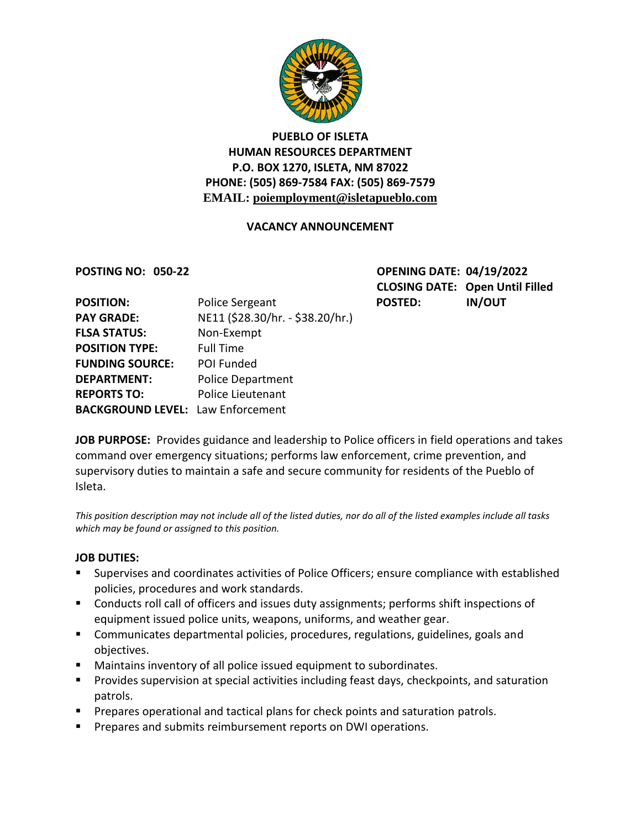

# **PUEBLO OF ISLETA HUMAN RESOURCES DEPARTMENT P.O. BOX 1270, ISLETA, NM 87022 PHONE: (505) 869-7584 FAX: (505) 869-7579 EMAIL: poiemployment@isletapueblo.com**

# **VACANCY ANNOUNCEMENT**

**POSTING NO: 050-22 OPENING DATE: 04/19/2022 CLOSING DATE: Open Until Filled**

| <b>POSITION:</b>                         | Police Sergeant                  | <b>POSTED:</b> | <b>IN/OUT</b> |
|------------------------------------------|----------------------------------|----------------|---------------|
| <b>PAY GRADE:</b>                        | NE11 (\$28.30/hr. - \$38.20/hr.) |                |               |
| <b>FLSA STATUS:</b>                      | Non-Exempt                       |                |               |
| <b>POSITION TYPE:</b>                    | <b>Full Time</b>                 |                |               |
| <b>FUNDING SOURCE:</b>                   | POI Funded                       |                |               |
| <b>DEPARTMENT:</b>                       | <b>Police Department</b>         |                |               |
| <b>REPORTS TO:</b>                       | Police Lieutenant                |                |               |
| <b>BACKGROUND LEVEL: Law Enforcement</b> |                                  |                |               |
|                                          |                                  |                |               |

**JOB PURPOSE:** Provides guidance and leadership to Police officers in field operations and takes command over emergency situations; performs law enforcement, crime prevention, and supervisory duties to maintain a safe and secure community for residents of the Pueblo of Isleta.

*This position description may not include all of the listed duties, nor do all of the listed examples include all tasks which may be found or assigned to this position.*

## **JOB DUTIES:**

- Supervises and coordinates activities of Police Officers; ensure compliance with established policies, procedures and work standards.
- **Conducts roll call of officers and issues duty assignments; performs shift inspections of** equipment issued police units, weapons, uniforms, and weather gear.
- Communicates departmental policies, procedures, regulations, guidelines, goals and objectives.
- Maintains inventory of all police issued equipment to subordinates.
- **Provides supervision at special activities including feast days, checkpoints, and saturation** patrols.
- **Prepares operational and tactical plans for check points and saturation patrols.**
- **Prepares and submits reimbursement reports on DWI operations.**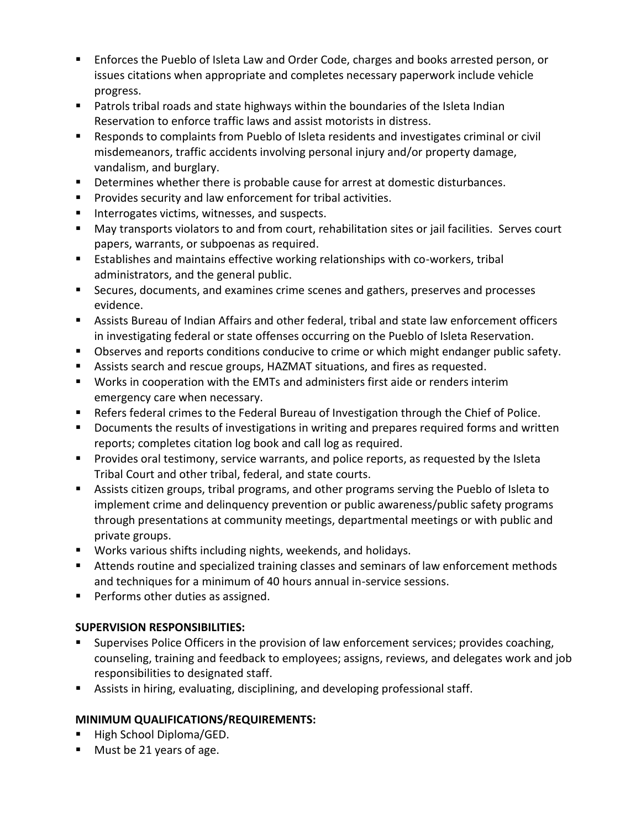- Enforces the Pueblo of Isleta Law and Order Code, charges and books arrested person, or issues citations when appropriate and completes necessary paperwork include vehicle progress.
- Patrols tribal roads and state highways within the boundaries of the Isleta Indian Reservation to enforce traffic laws and assist motorists in distress.
- Responds to complaints from Pueblo of Isleta residents and investigates criminal or civil misdemeanors, traffic accidents involving personal injury and/or property damage, vandalism, and burglary.
- Determines whether there is probable cause for arrest at domestic disturbances.
- **Provides security and law enforcement for tribal activities.**
- **Interrogates victims, witnesses, and suspects.**
- May transports violators to and from court, rehabilitation sites or jail facilities. Serves court papers, warrants, or subpoenas as required.
- Establishes and maintains effective working relationships with co-workers, tribal administrators, and the general public.
- Secures, documents, and examines crime scenes and gathers, preserves and processes evidence.
- Assists Bureau of Indian Affairs and other federal, tribal and state law enforcement officers in investigating federal or state offenses occurring on the Pueblo of Isleta Reservation.
- Observes and reports conditions conducive to crime or which might endanger public safety.
- Assists search and rescue groups, HAZMAT situations, and fires as requested.
- Works in cooperation with the EMTs and administers first aide or renders interim emergency care when necessary.
- Refers federal crimes to the Federal Bureau of Investigation through the Chief of Police.
- **Documents the results of investigations in writing and prepares required forms and written** reports; completes citation log book and call log as required.
- **Provides oral testimony, service warrants, and police reports, as requested by the Isleta** Tribal Court and other tribal, federal, and state courts.
- Assists citizen groups, tribal programs, and other programs serving the Pueblo of Isleta to implement crime and delinquency prevention or public awareness/public safety programs through presentations at community meetings, departmental meetings or with public and private groups.
- Works various shifts including nights, weekends, and holidays.
- Attends routine and specialized training classes and seminars of law enforcement methods and techniques for a minimum of 40 hours annual in-service sessions.
- **Performs other duties as assigned.**

# **SUPERVISION RESPONSIBILITIES:**

- Supervises Police Officers in the provision of law enforcement services; provides coaching, counseling, training and feedback to employees; assigns, reviews, and delegates work and job responsibilities to designated staff.
- Assists in hiring, evaluating, disciplining, and developing professional staff.

# **MINIMUM QUALIFICATIONS/REQUIREMENTS:**

- High School Diploma/GED.
- **Must be 21 years of age.**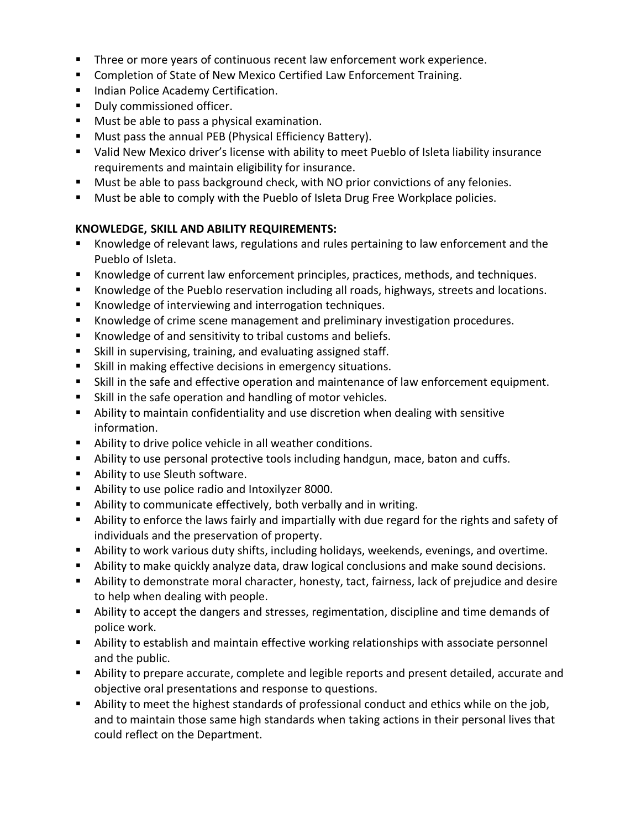- **Three or more years of continuous recent law enforcement work experience.**
- **EXECOMPLERIAT COMPLET OF STATE OF NEW MEXICO Certified Law Enforcement Training.**
- **Indian Police Academy Certification.**
- **Duly commissioned officer.**
- **Must be able to pass a physical examination.**
- Must pass the annual PEB (Physical Efficiency Battery).
- Valid New Mexico driver's license with ability to meet Pueblo of Isleta liability insurance requirements and maintain eligibility for insurance.
- **Must be able to pass background check, with NO prior convictions of any felonies.**
- **Must be able to comply with the Pueblo of Isleta Drug Free Workplace policies.**

## **KNOWLEDGE, SKILL AND ABILITY REQUIREMENTS:**

- Knowledge of relevant laws, regulations and rules pertaining to law enforcement and the Pueblo of Isleta.
- Knowledge of current law enforcement principles, practices, methods, and techniques.
- Knowledge of the Pueblo reservation including all roads, highways, streets and locations.
- **Knowledge of interviewing and interrogation techniques.**
- Knowledge of crime scene management and preliminary investigation procedures.
- Knowledge of and sensitivity to tribal customs and beliefs.
- Skill in supervising, training, and evaluating assigned staff.
- **Skill in making effective decisions in emergency situations.**
- Skill in the safe and effective operation and maintenance of law enforcement equipment.
- Skill in the safe operation and handling of motor vehicles.
- Ability to maintain confidentiality and use discretion when dealing with sensitive information.
- Ability to drive police vehicle in all weather conditions.
- Ability to use personal protective tools including handgun, mace, baton and cuffs.
- **Ability to use Sleuth software.**
- Ability to use police radio and Intoxilyzer 8000.
- Ability to communicate effectively, both verbally and in writing.
- Ability to enforce the laws fairly and impartially with due regard for the rights and safety of individuals and the preservation of property.
- Ability to work various duty shifts, including holidays, weekends, evenings, and overtime.
- Ability to make quickly analyze data, draw logical conclusions and make sound decisions.
- Ability to demonstrate moral character, honesty, tact, fairness, lack of prejudice and desire to help when dealing with people.
- Ability to accept the dangers and stresses, regimentation, discipline and time demands of police work.
- Ability to establish and maintain effective working relationships with associate personnel and the public.
- Ability to prepare accurate, complete and legible reports and present detailed, accurate and objective oral presentations and response to questions.
- Ability to meet the highest standards of professional conduct and ethics while on the job, and to maintain those same high standards when taking actions in their personal lives that could reflect on the Department.